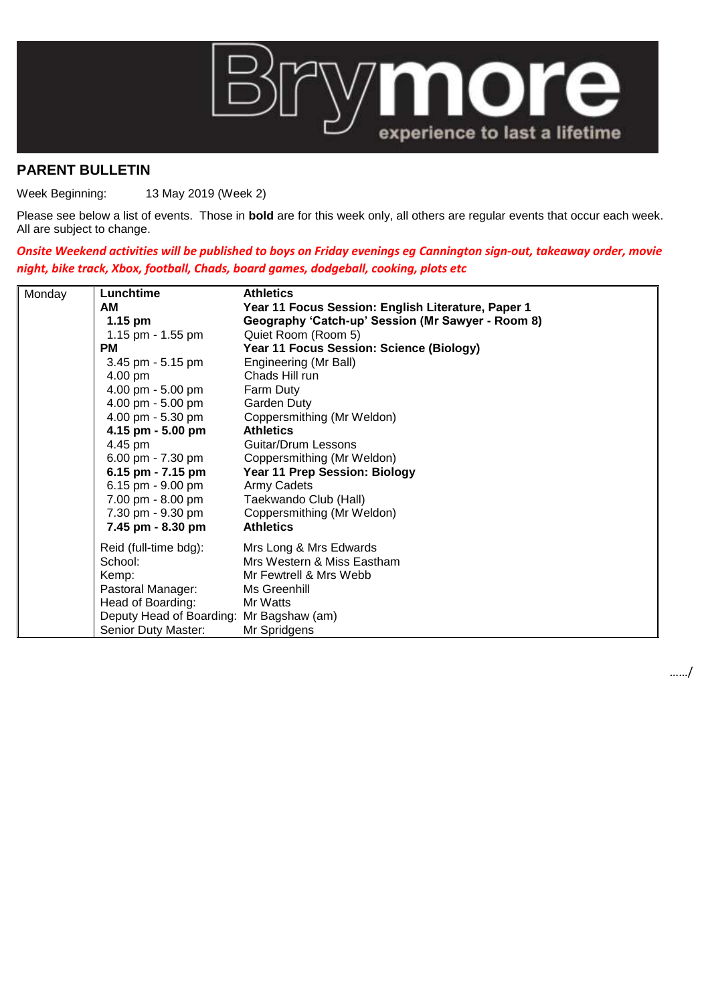

## **PARENT BULLETIN**

Week Beginning: 13 May 2019 (Week 2)

Please see below a list of events. Those in **bold** are for this week only, all others are regular events that occur each week. All are subject to change.

*Onsite Weekend activities will be published to boys on Friday evenings eg Cannington sign-out, takeaway order, movie night, bike track, Xbox, football, Chads, board games, dodgeball, cooking, plots etc*

| Monday | Lunchtime                | <b>Athletics</b>                                   |
|--------|--------------------------|----------------------------------------------------|
|        | AM                       | Year 11 Focus Session: English Literature, Paper 1 |
|        | $1.15$ pm                | Geography 'Catch-up' Session (Mr Sawyer - Room 8)  |
|        | 1.15 pm - 1.55 pm        | Quiet Room (Room 5)                                |
|        | <b>PM</b>                | Year 11 Focus Session: Science (Biology)           |
|        | 3.45 pm - 5.15 pm        | Engineering (Mr Ball)                              |
|        | 4.00 pm                  | Chads Hill run                                     |
|        | 4.00 pm - 5.00 pm        | Farm Duty                                          |
|        | 4.00 pm - 5.00 pm        | Garden Duty                                        |
|        | 4.00 pm - 5.30 pm        | Coppersmithing (Mr Weldon)                         |
|        | 4.15 pm - 5.00 pm        | <b>Athletics</b>                                   |
|        | 4.45 pm                  | Guitar/Drum Lessons                                |
|        | 6.00 pm - 7.30 pm        | Coppersmithing (Mr Weldon)                         |
|        | 6.15 pm - $7.15$ pm      | Year 11 Prep Session: Biology                      |
|        | 6.15 pm - 9.00 pm        | Army Cadets                                        |
|        | 7.00 pm - 8.00 pm        | Taekwando Club (Hall)                              |
|        | 7.30 pm - 9.30 pm        | Coppersmithing (Mr Weldon)                         |
|        | 7.45 pm - 8.30 pm        | <b>Athletics</b>                                   |
|        | Reid (full-time bdg):    | Mrs Long & Mrs Edwards                             |
|        | School:                  | Mrs Western & Miss Eastham                         |
|        | Kemp:                    | Mr Fewtrell & Mrs Webb                             |
|        | Pastoral Manager:        | Ms Greenhill                                       |
|        | Head of Boarding:        | Mr Watts                                           |
|        | Deputy Head of Boarding: | Mr Bagshaw (am)                                    |
|        | Senior Duty Master:      | Mr Spridgens                                       |

……/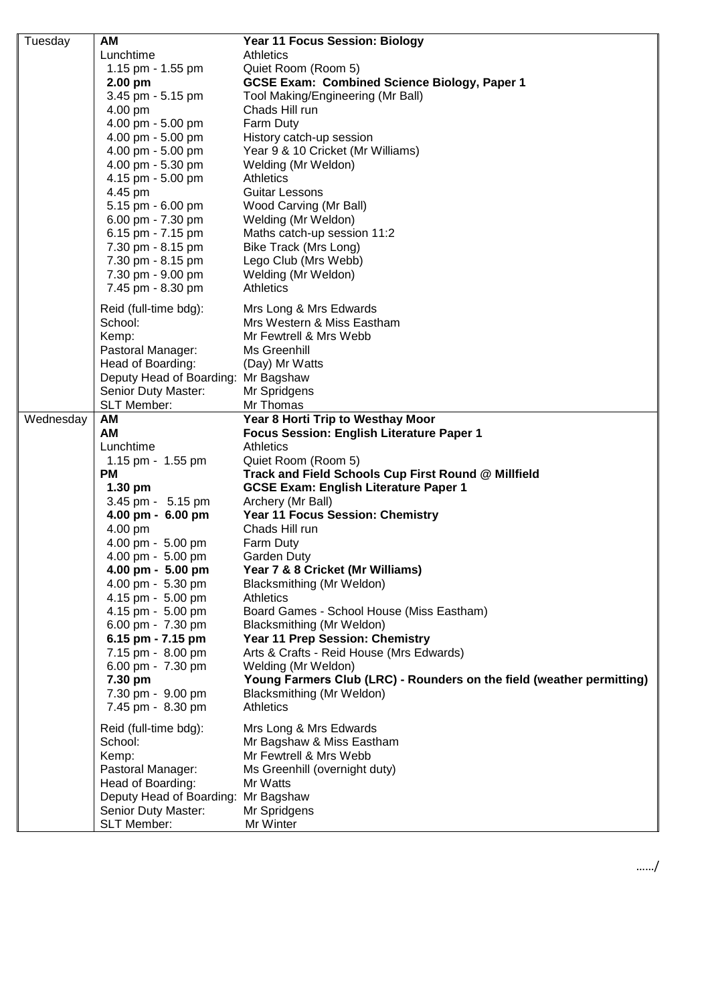| Tuesday   | AM                                     | Year 11 Focus Session: Biology                                        |
|-----------|----------------------------------------|-----------------------------------------------------------------------|
|           | Lunchtime                              | Athletics                                                             |
|           | 1.15 pm - 1.55 pm                      | Quiet Room (Room 5)                                                   |
|           | 2.00 pm                                | <b>GCSE Exam: Combined Science Biology, Paper 1</b>                   |
|           | 3.45 pm - 5.15 pm                      | Tool Making/Engineering (Mr Ball)                                     |
|           | 4.00 pm                                | Chads Hill run                                                        |
|           | 4.00 pm - 5.00 pm                      | Farm Duty                                                             |
|           | 4.00 pm - 5.00 pm                      | History catch-up session                                              |
|           | 4.00 pm - 5.00 pm                      | Year 9 & 10 Cricket (Mr Williams)                                     |
|           | 4.00 pm - 5.30 pm                      | Welding (Mr Weldon)                                                   |
|           | 4.15 pm - 5.00 pm                      | <b>Athletics</b>                                                      |
|           | 4.45 pm                                | <b>Guitar Lessons</b>                                                 |
|           | 5.15 pm - 6.00 pm                      | Wood Carving (Mr Ball)                                                |
|           | 6.00 pm - 7.30 pm                      | Welding (Mr Weldon)                                                   |
|           | 6.15 pm - 7.15 pm                      | Maths catch-up session 11:2                                           |
|           | 7.30 pm - 8.15 pm                      | Bike Track (Mrs Long)                                                 |
|           | 7.30 pm - 8.15 pm                      | Lego Club (Mrs Webb)                                                  |
|           | 7.30 pm - 9.00 pm                      | Welding (Mr Weldon)                                                   |
|           | 7.45 pm - 8.30 pm                      | <b>Athletics</b>                                                      |
|           | Reid (full-time bdg):                  | Mrs Long & Mrs Edwards                                                |
|           | School:                                | Mrs Western & Miss Eastham                                            |
|           | Kemp:                                  | Mr Fewtrell & Mrs Webb                                                |
|           | Pastoral Manager:                      | Ms Greenhill                                                          |
|           | Head of Boarding:                      | (Day) Mr Watts                                                        |
|           | Deputy Head of Boarding: Mr Bagshaw    |                                                                       |
|           | Senior Duty Master:                    | Mr Spridgens                                                          |
|           | SLT Member:                            | Mr Thomas                                                             |
| Wednesday | AM                                     | Year 8 Horti Trip to Westhay Moor                                     |
|           | AM                                     | Focus Session: English Literature Paper 1                             |
|           | Lunchtime                              | <b>Athletics</b>                                                      |
|           | 1.15 pm - 1.55 pm                      | Quiet Room (Room 5)                                                   |
|           | <b>PM</b>                              | Track and Field Schools Cup First Round @ Millfield                   |
|           | $1.30$ pm                              | <b>GCSE Exam: English Literature Paper 1</b>                          |
|           | 3.45 pm - 5.15 pm                      | Archery (Mr Ball)                                                     |
|           | 4.00 pm - 6.00 pm                      | Year 11 Focus Session: Chemistry                                      |
|           | 4.00 pm                                | Chads Hill run                                                        |
|           | 4.00 pm - 5.00 pm                      | Farm Duty                                                             |
|           | 4.00 pm - 5.00 pm                      | Garden Duty                                                           |
|           | $4.00 \text{ pm} - 5.00 \text{ pm}$    | Year 7 & 8 Cricket (Mr Williams)                                      |
|           | 4.00 pm - 5.30 pm<br>4.15 pm - 5.00 pm | Blacksmithing (Mr Weldon)<br><b>Athletics</b>                         |
|           | 4.15 pm - 5.00 pm                      | Board Games - School House (Miss Eastham)                             |
|           | 6.00 pm - 7.30 pm                      | Blacksmithing (Mr Weldon)                                             |
|           | 6.15 pm - 7.15 pm                      | Year 11 Prep Session: Chemistry                                       |
|           | 7.15 pm - 8.00 pm                      | Arts & Crafts - Reid House (Mrs Edwards)                              |
|           | 6.00 pm - 7.30 pm                      | Welding (Mr Weldon)                                                   |
|           | 7.30 pm                                | Young Farmers Club (LRC) - Rounders on the field (weather permitting) |
|           | 7.30 pm - 9.00 pm                      | Blacksmithing (Mr Weldon)                                             |
|           | 7.45 pm - 8.30 pm                      | <b>Athletics</b>                                                      |
|           |                                        |                                                                       |
|           | Reid (full-time bdg):                  | Mrs Long & Mrs Edwards                                                |
|           | School:                                | Mr Bagshaw & Miss Eastham                                             |
|           | Kemp:                                  | Mr Fewtrell & Mrs Webb                                                |
|           | Pastoral Manager:                      | Ms Greenhill (overnight duty)                                         |
|           | Head of Boarding:                      | Mr Watts                                                              |
|           | Deputy Head of Boarding:               | Mr Bagshaw                                                            |
|           | Senior Duty Master:                    | Mr Spridgens                                                          |
|           | SLT Member:                            | Mr Winter                                                             |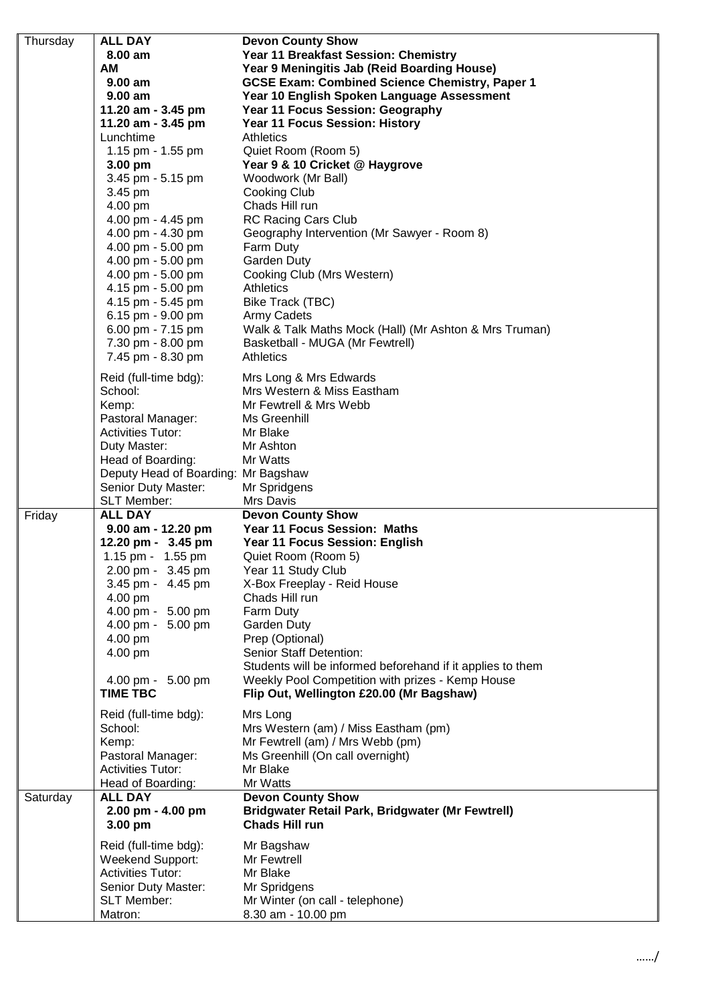| Thursday | <b>ALL DAY</b>                           | <b>Devon County Show</b>                                   |
|----------|------------------------------------------|------------------------------------------------------------|
|          | 8.00 am                                  | Year 11 Breakfast Session: Chemistry                       |
|          | <b>AM</b>                                | Year 9 Meningitis Jab (Reid Boarding House)                |
|          | 9.00 am                                  | <b>GCSE Exam: Combined Science Chemistry, Paper 1</b>      |
|          | $9.00$ am                                | Year 10 English Spoken Language Assessment                 |
|          | 11.20 am - 3.45 pm                       | Year 11 Focus Session: Geography                           |
|          | 11.20 am - 3.45 pm                       | <b>Year 11 Focus Session: History</b>                      |
|          | Lunchtime                                | <b>Athletics</b>                                           |
|          | 1.15 pm - 1.55 pm                        | Quiet Room (Room 5)                                        |
|          | $3.00$ pm                                | Year 9 & 10 Cricket @ Haygrove                             |
|          | 3.45 pm - 5.15 pm<br>3.45 pm             | Woodwork (Mr Ball)<br>Cooking Club                         |
|          | 4.00 pm                                  | Chads Hill run                                             |
|          | 4.00 pm - 4.45 pm                        | <b>RC Racing Cars Club</b>                                 |
|          | 4.00 pm - 4.30 pm                        | Geography Intervention (Mr Sawyer - Room 8)                |
|          | 4.00 pm - 5.00 pm                        | Farm Duty                                                  |
|          | 4.00 pm - 5.00 pm                        | Garden Duty                                                |
|          | 4.00 pm - 5.00 pm                        | Cooking Club (Mrs Western)                                 |
|          | 4.15 pm - 5.00 pm                        | Athletics                                                  |
|          | 4.15 pm - 5.45 pm                        | Bike Track (TBC)                                           |
|          | 6.15 pm - 9.00 pm                        | <b>Army Cadets</b>                                         |
|          | 6.00 pm - 7.15 pm                        | Walk & Talk Maths Mock (Hall) (Mr Ashton & Mrs Truman)     |
|          | 7.30 pm - 8.00 pm                        | Basketball - MUGA (Mr Fewtrell)                            |
|          | 7.45 pm - 8.30 pm                        | <b>Athletics</b>                                           |
|          | Reid (full-time bdg):                    | Mrs Long & Mrs Edwards                                     |
|          | School:                                  | Mrs Western & Miss Eastham                                 |
|          | Kemp:                                    | Mr Fewtrell & Mrs Webb                                     |
|          | Pastoral Manager:                        | Ms Greenhill                                               |
|          | <b>Activities Tutor:</b>                 | Mr Blake                                                   |
|          | Duty Master:                             | Mr Ashton                                                  |
|          | Head of Boarding:                        | Mr Watts                                                   |
|          | Deputy Head of Boarding: Mr Bagshaw      |                                                            |
|          | Senior Duty Master:                      | Mr Spridgens                                               |
|          | SLT Member:                              | Mrs Davis                                                  |
| Friday   | <b>ALL DAY</b>                           | <b>Devon County Show</b><br>Year 11 Focus Session: Maths   |
|          | 9.00 am - 12.20 pm<br>12.20 pm - 3.45 pm | Year 11 Focus Session: English                             |
|          | 1.15 pm - 1.55 pm                        | Quiet Room (Room 5)                                        |
|          | 2.00 pm - 3.45 pm                        | Year 11 Study Club                                         |
|          | 3.45 pm - 4.45 pm                        | X-Box Freeplay - Reid House                                |
|          | 4.00 pm                                  | Chads Hill run                                             |
|          | 4.00 pm - 5.00 pm                        | Farm Duty                                                  |
|          | 4.00 pm - 5.00 pm                        | Garden Duty                                                |
|          | 4.00 pm                                  | Prep (Optional)                                            |
|          | 4.00 pm                                  | Senior Staff Detention:                                    |
|          |                                          | Students will be informed beforehand if it applies to them |
|          | 4.00 pm - 5.00 pm                        | Weekly Pool Competition with prizes - Kemp House           |
|          | <b>TIME TBC</b>                          | Flip Out, Wellington £20.00 (Mr Bagshaw)                   |
|          | Reid (full-time bdg):                    | Mrs Long                                                   |
|          | School:                                  | Mrs Western (am) / Miss Eastham (pm)                       |
|          | Kemp:                                    | Mr Fewtrell (am) / Mrs Webb (pm)                           |
|          |                                          |                                                            |
|          | Pastoral Manager:                        | Ms Greenhill (On call overnight)                           |
|          | <b>Activities Tutor:</b>                 | Mr Blake                                                   |
|          | Head of Boarding:                        | Mr Watts                                                   |
| Saturday | <b>ALL DAY</b>                           | <b>Devon County Show</b>                                   |
|          | 2.00 pm - 4.00 pm                        | <b>Bridgwater Retail Park, Bridgwater (Mr Fewtrell)</b>    |
|          | 3.00 pm                                  | <b>Chads Hill run</b>                                      |
|          | Reid (full-time bdg):                    | Mr Bagshaw                                                 |
|          | <b>Weekend Support:</b>                  | Mr Fewtrell                                                |
|          | <b>Activities Tutor:</b>                 | Mr Blake                                                   |
|          | Senior Duty Master:                      | Mr Spridgens                                               |
|          | <b>SLT Member:</b><br>Matron:            | Mr Winter (on call - telephone)<br>8.30 am - 10.00 pm      |